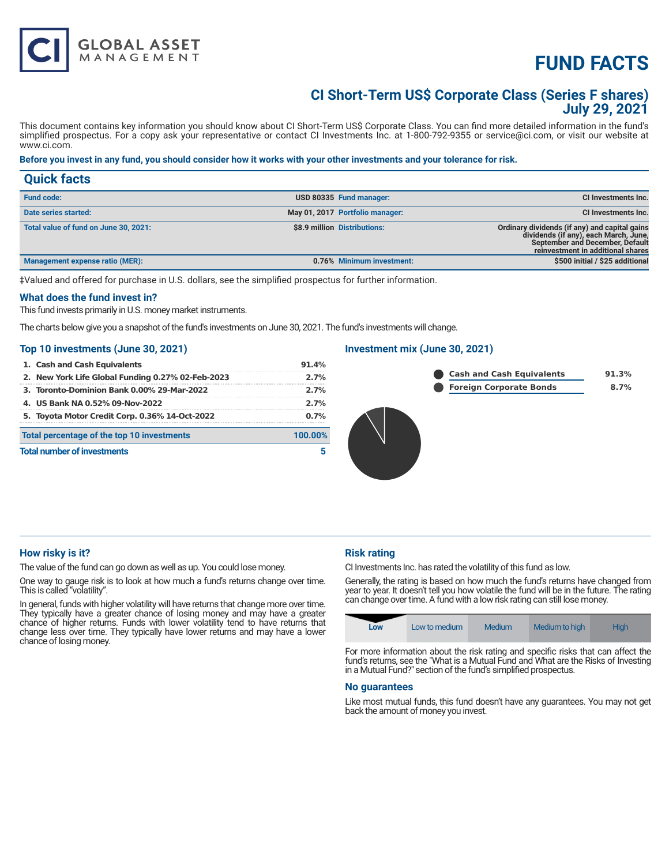# **FUND FACTS**

### **CI Short-Term US\$ Corporate Class (Series F shares) July 29, 2021**

This document contains key information you should know about CI Short-Term US\$ Corporate Class. You can find more detailed information in the fund's simplified prospectus. For a copy ask your representative or contact CI Investments Inc. at 1-800-792-9355 or service@ci.com, or visit our website at www.ci.com.

#### **Before you invest in any fund, you should consider how it works with your other investments and your tolerance for risk.**

| <b>Quick facts</b>                    |                                 |                                                                                                                                                                |
|---------------------------------------|---------------------------------|----------------------------------------------------------------------------------------------------------------------------------------------------------------|
| <b>Fund code:</b>                     | USD 80335 Fund manager:         | <b>CI Investments Inc.</b>                                                                                                                                     |
| Date series started:                  | May 01, 2017 Portfolio manager: | CI Investments Inc.                                                                                                                                            |
| Total value of fund on June 30, 2021: | \$8.9 million Distributions:    | Ordinary dividends (if any) and capital gains<br>dividends (if any), each March, June,<br>September and December, Default<br>reinvestment in additional shares |
| Management expense ratio (MER):       | 0.76% Minimum investment:       | \$500 initial / \$25 additional                                                                                                                                |

‡Valued and offered for purchase in U.S. dollars, see the simplified prospectus for further information.

#### **What does the fund invest in?**

This fund invests primarily in U.S. money market instruments.

**GLOBAL ASSET**<br>MANAGEMENT

The charts below give you a snapshot of the fund's investments on June 30, 2021. The fund's investments will change.

#### **Top 10 investments (June 30, 2021)**

| 1. Cash and Cash Equivalents                      | 91.4%   |
|---------------------------------------------------|---------|
| 2. New York Life Global Funding 0.27% 02-Feb-2023 | 2.7%    |
| 3. Toronto-Dominion Bank 0.00% 29-Mar-2022        | 2.7%    |
| 4. US Bank NA 0.52% 09-Nov-2022                   | 2.7%    |
| 5. Toyota Motor Credit Corp. 0.36% 14-Oct-2022    | 0.7%    |
| Total percentage of the top 10 investments        | 100.00% |
| <b>Total number of investments</b>                |         |
|                                                   |         |

#### **Investment mix (June 30, 2021)**





#### **How risky is it?**

The value of the fund can go down as well as up. You could lose money.

One way to gauge risk is to look at how much a fund's returns change over time. This is called "volatility".

In general, funds with higher volatility will have returns that change more over time. They typically have a greater chance of losing money and may have a greater chance of higher returns. Funds with lower volatility tend to have returns that change less over time. They typically have lower returns and may have a lower chance of losing money.

#### **Risk rating**

CI Investments Inc. has rated the volatility of this fund as low.

Generally, the rating is based on how much the fund's returns have changed from year to year. It doesn't tell you how volatile the fund will be in the future. The rating can change over time. A fund with a low risk rating can still lose money.

| Low | Low to medium | Medium | Medium to high | <b>High</b> |
|-----|---------------|--------|----------------|-------------|
|-----|---------------|--------|----------------|-------------|

For more information about the risk rating and specific risks that can affect the fund's returns, see the "What is a Mutual Fund and What are the Risks of Investing in a Mutual Fund?" section of the fund's simplified prospectus.

#### **No guarantees**

Like most mutual funds, this fund doesn't have any guarantees. You may not get back the amount of money you invest.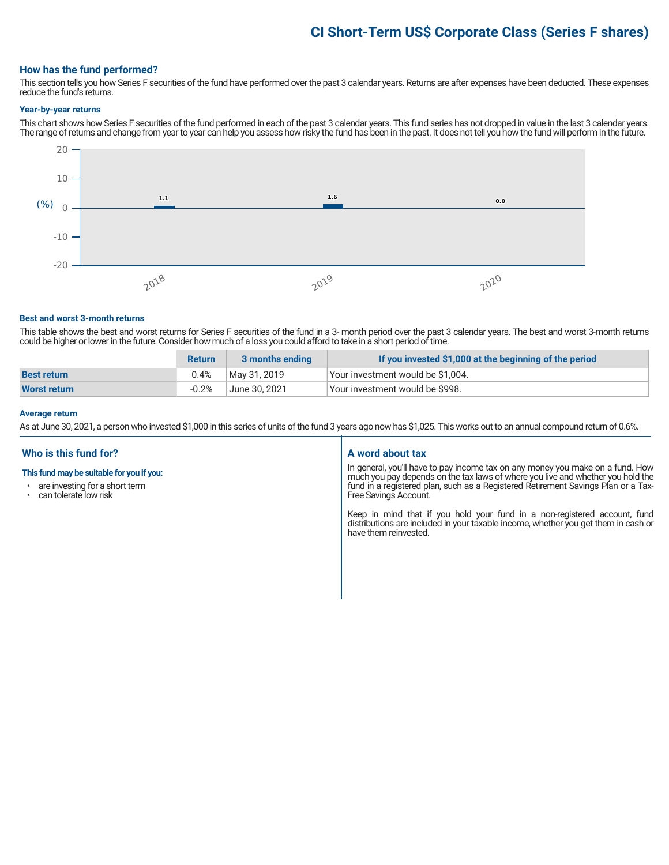## **CI Short-Term US\$ Corporate Class (Series F shares)**

#### **How has the fund performed?**

This section tells you how Series F securities of the fund have performed over the past 3 calendar years. Returns are after expenses have been deducted. These expenses reduce the fund's returns.

#### **Year-by-year returns**

This chart shows how Series F securities of the fund performed in each of the past 3 calendar years. This fund series has not dropped in value in the last 3 calendar years. The range of returns and change from year to year can help you assess how risky the fund has been in the past. It does not tell you how the fund will perform in the future.



#### **Best and worst 3-month returns**

This table shows the best and worst returns for Series F securities of the fund in a 3- month period over the past 3 calendar years. The best and worst 3-month returns could be higher or lower in the future. Consider how much of a loss you could afford to take in a short period of time.

|                     | <b>Return</b> | 3 months ending | If you invested \$1,000 at the beginning of the period |
|---------------------|---------------|-----------------|--------------------------------------------------------|
| <b>Best return</b>  | 0.4%          | May 31, 2019    | Your investment would be \$1,004.                      |
| <b>Worst return</b> | $-0.2%$       | June 30. 2021   | Vour investment would be \$998.                        |

#### **Average return**

As at June 30, 2021, a person who invested \$1,000 in this series of units of the fund 3 years ago now has \$1,025. This works out to an annual compound return of 0.6%.

#### **Who is this fund for?**

#### **This fund may be suitable for you if you:**

- are investing for a short term
- can tolerate low risk

#### **A word about tax**

In general, you'll have to pay income tax on any money you make on a fund. How much you pay depends on the tax laws of where you live and whether you hold the fund in a registered plan, such as a Registered Retirement Savings Plan or a Tax-Free Savings Account.

Keep in mind that if you hold your fund in a non-registered account, fund distributions are included in your taxable income, whether you get them in cash or have them reinvested.